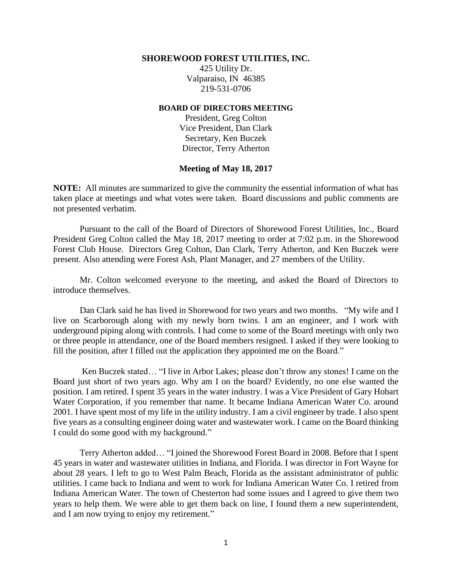#### **SHOREWOOD FOREST UTILITIES, INC.**

425 Utility Dr. Valparaiso, IN 46385 219-531-0706

#### **BOARD OF DIRECTORS MEETING**

President, Greg Colton Vice President, Dan Clark Secretary, Ken Buczek Director, Terry Atherton

### **Meeting of May 18, 2017**

**NOTE:** All minutes are summarized to give the community the essential information of what has taken place at meetings and what votes were taken. Board discussions and public comments are not presented verbatim.

Pursuant to the call of the Board of Directors of Shorewood Forest Utilities, Inc., Board President Greg Colton called the May 18, 2017 meeting to order at 7:02 p.m. in the Shorewood Forest Club House. Directors Greg Colton, Dan Clark, Terry Atherton, and Ken Buczek were present. Also attending were Forest Ash, Plant Manager, and 27 members of the Utility.

Mr. Colton welcomed everyone to the meeting, and asked the Board of Directors to introduce themselves.

Dan Clark said he has lived in Shorewood for two years and two months. "My wife and I live on Scarborough along with my newly born twins. I am an engineer, and I work with underground piping along with controls. I had come to some of the Board meetings with only two or three people in attendance, one of the Board members resigned. I asked if they were looking to fill the position, after I filled out the application they appointed me on the Board."

Ken Buczek stated… "I live in Arbor Lakes; please don't throw any stones! I came on the Board just short of two years ago. Why am I on the board? Evidently, no one else wanted the position. I am retired. I spent 35 years in the water industry. I was a Vice President of Gary Hobart Water Corporation, if you remember that name. It became Indiana American Water Co. around 2001. I have spent most of my life in the utility industry. I am a civil engineer by trade. I also spent five years as a consulting engineer doing water and wastewater work. I came on the Board thinking I could do some good with my background."

Terry Atherton added… "I joined the Shorewood Forest Board in 2008. Before that I spent 45 years in water and wastewater utilities in Indiana, and Florida. I was director in Fort Wayne for about 28 years. I left to go to West Palm Beach, Florida as the assistant administrator of public utilities. I came back to Indiana and went to work for Indiana American Water Co. I retired from Indiana American Water. The town of Chesterton had some issues and I agreed to give them two years to help them. We were able to get them back on line, I found them a new superintendent, and I am now trying to enjoy my retirement."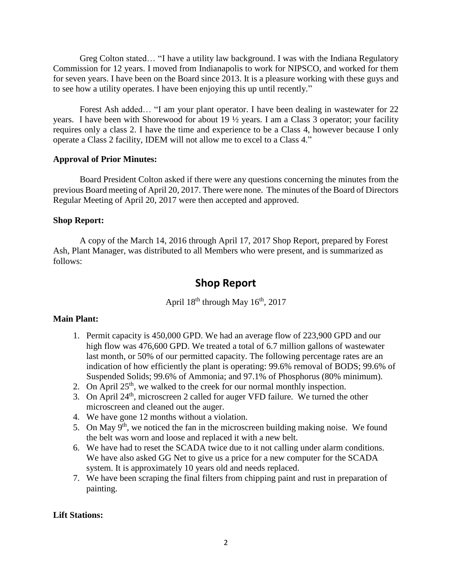Greg Colton stated… "I have a utility law background. I was with the Indiana Regulatory Commission for 12 years. I moved from Indianapolis to work for NIPSCO, and worked for them for seven years. I have been on the Board since 2013. It is a pleasure working with these guys and to see how a utility operates. I have been enjoying this up until recently."

Forest Ash added… "I am your plant operator. I have been dealing in wastewater for 22 years. I have been with Shorewood for about 19 ½ years. I am a Class 3 operator; your facility requires only a class 2. I have the time and experience to be a Class 4, however because I only operate a Class 2 facility, IDEM will not allow me to excel to a Class 4."

### **Approval of Prior Minutes:**

Board President Colton asked if there were any questions concerning the minutes from the previous Board meeting of April 20, 2017. There were none. The minutes of the Board of Directors Regular Meeting of April 20, 2017 were then accepted and approved.

### **Shop Report:**

A copy of the March 14, 2016 through April 17, 2017 Shop Report, prepared by Forest Ash, Plant Manager, was distributed to all Members who were present, and is summarized as follows:

# **Shop Report**

April  $18<sup>th</sup>$  through May  $16<sup>th</sup>$ , 2017

# **Main Plant:**

- 1. Permit capacity is 450,000 GPD. We had an average flow of 223,900 GPD and our high flow was 476,600 GPD. We treated a total of 6.7 million gallons of wastewater last month, or 50% of our permitted capacity. The following percentage rates are an indication of how efficiently the plant is operating: 99.6% removal of BODS; 99.6% of Suspended Solids; 99.6% of Ammonia; and 97.1% of Phosphorus (80% minimum).
- 2. On April  $25<sup>th</sup>$ , we walked to the creek for our normal monthly inspection.
- 3. On April 24th, microscreen 2 called for auger VFD failure. We turned the other microscreen and cleaned out the auger.
- 4. We have gone 12 months without a violation.
- 5. On May  $9<sup>th</sup>$ , we noticed the fan in the microscreen building making noise. We found the belt was worn and loose and replaced it with a new belt.
- 6. We have had to reset the SCADA twice due to it not calling under alarm conditions. We have also asked GG Net to give us a price for a new computer for the SCADA system. It is approximately 10 years old and needs replaced.
- 7. We have been scraping the final filters from chipping paint and rust in preparation of painting.

# **Lift Stations:**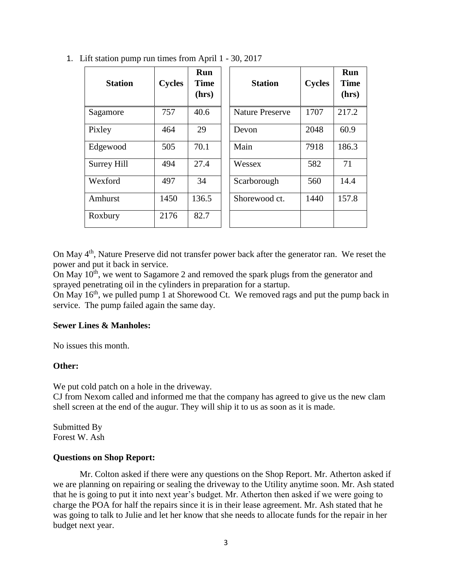| <b>Station</b>     | <b>Cycles</b> | Run<br><b>Time</b><br>(hrs) | <b>Station</b>         | <b>Cycles</b> | Run<br><b>Time</b><br>(hrs) |
|--------------------|---------------|-----------------------------|------------------------|---------------|-----------------------------|
| Sagamore           | 757           | 40.6                        | <b>Nature Preserve</b> | 1707          | 217.2                       |
| Pixley             | 464           | 29                          | Devon                  | 2048          | 60.9                        |
| Edgewood           | 505           | 70.1                        | Main                   | 7918          | 186.3                       |
| <b>Surrey Hill</b> | 494           | 27.4                        | Wessex                 | 582           | 71                          |
| Wexford            | 497           | 34                          | Scarborough            | 560           | 14.4                        |
| Amhurst            | 1450          | 136.5                       | Shorewood ct.          | 1440          | 157.8                       |
| Roxbury            | 2176          | 82.7                        |                        |               |                             |

1. Lift station pump run times from April 1 - 30, 2017

On May 4<sup>th</sup>, Nature Preserve did not transfer power back after the generator ran. We reset the power and put it back in service.

On May 10<sup>th</sup>, we went to Sagamore 2 and removed the spark plugs from the generator and sprayed penetrating oil in the cylinders in preparation for a startup.

On May 16<sup>th</sup>, we pulled pump 1 at Shorewood Ct. We removed rags and put the pump back in service. The pump failed again the same day.

#### **Sewer Lines & Manholes:**

No issues this month.

#### **Other:**

We put cold patch on a hole in the driveway.

CJ from Nexom called and informed me that the company has agreed to give us the new clam shell screen at the end of the augur. They will ship it to us as soon as it is made.

Submitted By Forest W. Ash

#### **Questions on Shop Report:**

Mr. Colton asked if there were any questions on the Shop Report. Mr. Atherton asked if we are planning on repairing or sealing the driveway to the Utility anytime soon. Mr. Ash stated that he is going to put it into next year's budget. Mr. Atherton then asked if we were going to charge the POA for half the repairs since it is in their lease agreement. Mr. Ash stated that he was going to talk to Julie and let her know that she needs to allocate funds for the repair in her budget next year.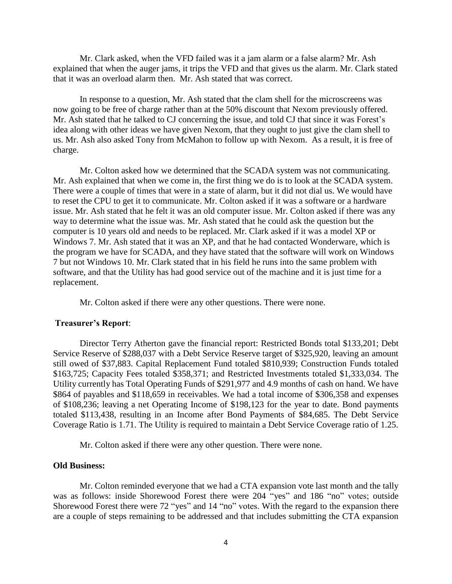Mr. Clark asked, when the VFD failed was it a jam alarm or a false alarm? Mr. Ash explained that when the auger jams, it trips the VFD and that gives us the alarm. Mr. Clark stated that it was an overload alarm then. Mr. Ash stated that was correct.

In response to a question, Mr. Ash stated that the clam shell for the microscreens was now going to be free of charge rather than at the 50% discount that Nexom previously offered. Mr. Ash stated that he talked to CJ concerning the issue, and told CJ that since it was Forest's idea along with other ideas we have given Nexom, that they ought to just give the clam shell to us. Mr. Ash also asked Tony from McMahon to follow up with Nexom. As a result, it is free of charge.

Mr. Colton asked how we determined that the SCADA system was not communicating. Mr. Ash explained that when we come in, the first thing we do is to look at the SCADA system. There were a couple of times that were in a state of alarm, but it did not dial us. We would have to reset the CPU to get it to communicate. Mr. Colton asked if it was a software or a hardware issue. Mr. Ash stated that he felt it was an old computer issue. Mr. Colton asked if there was any way to determine what the issue was. Mr. Ash stated that he could ask the question but the computer is 10 years old and needs to be replaced. Mr. Clark asked if it was a model XP or Windows 7. Mr. Ash stated that it was an XP, and that he had contacted Wonderware, which is the program we have for SCADA, and they have stated that the software will work on Windows 7 but not Windows 10. Mr. Clark stated that in his field he runs into the same problem with software, and that the Utility has had good service out of the machine and it is just time for a replacement.

Mr. Colton asked if there were any other questions. There were none.

#### **Treasurer's Report**:

Director Terry Atherton gave the financial report: Restricted Bonds total \$133,201; Debt Service Reserve of \$288,037 with a Debt Service Reserve target of \$325,920, leaving an amount still owed of \$37,883. Capital Replacement Fund totaled \$810,939; Construction Funds totaled \$163,725; Capacity Fees totaled \$358,371; and Restricted Investments totaled \$1,333,034. The Utility currently has Total Operating Funds of \$291,977 and 4.9 months of cash on hand. We have \$864 of payables and \$118,659 in receivables. We had a total income of \$306,358 and expenses of \$108,236; leaving a net Operating Income of \$198,123 for the year to date. Bond payments totaled \$113,438, resulting in an Income after Bond Payments of \$84,685. The Debt Service Coverage Ratio is 1.71. The Utility is required to maintain a Debt Service Coverage ratio of 1.25.

Mr. Colton asked if there were any other question. There were none.

#### **Old Business:**

Mr. Colton reminded everyone that we had a CTA expansion vote last month and the tally was as follows: inside Shorewood Forest there were 204 "yes" and 186 "no" votes; outside Shorewood Forest there were 72 "yes" and 14 "no" votes. With the regard to the expansion there are a couple of steps remaining to be addressed and that includes submitting the CTA expansion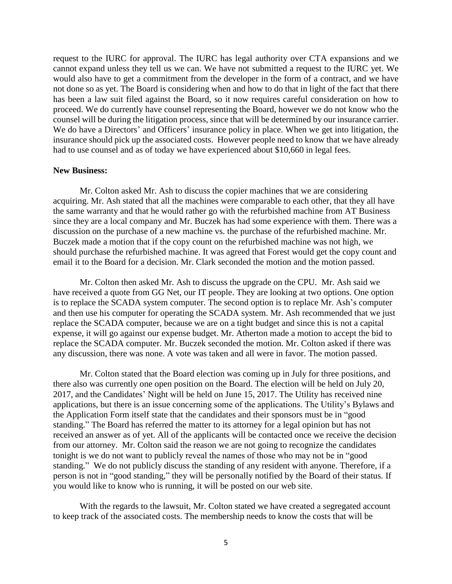request to the IURC for approval. The IURC has legal authority over CTA expansions and we cannot expand unless they tell us we can. We have not submitted a request to the IURC yet. We would also have to get a commitment from the developer in the form of a contract, and we have not done so as yet. The Board is considering when and how to do that in light of the fact that there has been a law suit filed against the Board, so it now requires careful consideration on how to proceed. We do currently have counsel representing the Board, however we do not know who the counsel will be during the litigation process, since that will be determined by our insurance carrier. We do have a Directors' and Officers' insurance policy in place. When we get into litigation, the insurance should pick up the associated costs. However people need to know that we have already had to use counsel and as of today we have experienced about \$10,660 in legal fees.

### **New Business:**

Mr. Colton asked Mr. Ash to discuss the copier machines that we are considering acquiring. Mr. Ash stated that all the machines were comparable to each other, that they all have the same warranty and that he would rather go with the refurbished machine from AT Business since they are a local company and Mr. Buczek has had some experience with them. There was a discussion on the purchase of a new machine vs. the purchase of the refurbished machine. Mr. Buczek made a motion that if the copy count on the refurbished machine was not high, we should purchase the refurbished machine. It was agreed that Forest would get the copy count and email it to the Board for a decision. Mr. Clark seconded the motion and the motion passed.

Mr. Colton then asked Mr. Ash to discuss the upgrade on the CPU. Mr. Ash said we have received a quote from GG Net, our IT people. They are looking at two options. One option is to replace the SCADA system computer. The second option is to replace Mr. Ash's computer and then use his computer for operating the SCADA system. Mr. Ash recommended that we just replace the SCADA computer, because we are on a tight budget and since this is not a capital expense, it will go against our expense budget. Mr. Atherton made a motion to accept the bid to replace the SCADA computer. Mr. Buczek seconded the motion. Mr. Colton asked if there was any discussion, there was none. A vote was taken and all were in favor. The motion passed.

Mr. Colton stated that the Board election was coming up in July for three positions, and there also was currently one open position on the Board. The election will be held on July 20, 2017, and the Candidates' Night will be held on June 15, 2017. The Utility has received nine applications, but there is an issue concerning some of the applications. The Utility's Bylaws and the Application Form itself state that the candidates and their sponsors must be in "good standing." The Board has referred the matter to its attorney for a legal opinion but has not received an answer as of yet. All of the applicants will be contacted once we receive the decision from our attorney. Mr. Colton said the reason we are not going to recognize the candidates tonight is we do not want to publicly reveal the names of those who may not be in "good standing." We do not publicly discuss the standing of any resident with anyone. Therefore, if a person is not in "good standing," they will be personally notified by the Board of their status. If you would like to know who is running, it will be posted on our web site.

With the regards to the lawsuit, Mr. Colton stated we have created a segregated account to keep track of the associated costs. The membership needs to know the costs that will be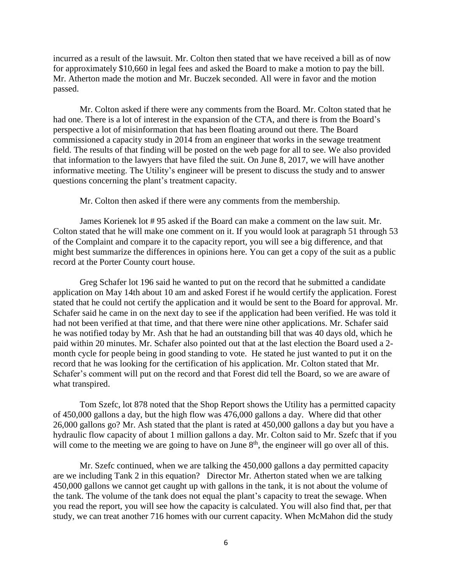incurred as a result of the lawsuit. Mr. Colton then stated that we have received a bill as of now for approximately \$10,660 in legal fees and asked the Board to make a motion to pay the bill. Mr. Atherton made the motion and Mr. Buczek seconded. All were in favor and the motion passed.

Mr. Colton asked if there were any comments from the Board. Mr. Colton stated that he had one. There is a lot of interest in the expansion of the CTA, and there is from the Board's perspective a lot of misinformation that has been floating around out there. The Board commissioned a capacity study in 2014 from an engineer that works in the sewage treatment field. The results of that finding will be posted on the web page for all to see. We also provided that information to the lawyers that have filed the suit. On June 8, 2017, we will have another informative meeting. The Utility's engineer will be present to discuss the study and to answer questions concerning the plant's treatment capacity.

Mr. Colton then asked if there were any comments from the membership.

James Korienek lot # 95 asked if the Board can make a comment on the law suit. Mr. Colton stated that he will make one comment on it. If you would look at paragraph 51 through 53 of the Complaint and compare it to the capacity report, you will see a big difference, and that might best summarize the differences in opinions here. You can get a copy of the suit as a public record at the Porter County court house.

Greg Schafer lot 196 said he wanted to put on the record that he submitted a candidate application on May 14th about 10 am and asked Forest if he would certify the application. Forest stated that he could not certify the application and it would be sent to the Board for approval. Mr. Schafer said he came in on the next day to see if the application had been verified. He was told it had not been verified at that time, and that there were nine other applications. Mr. Schafer said he was notified today by Mr. Ash that he had an outstanding bill that was 40 days old, which he paid within 20 minutes. Mr. Schafer also pointed out that at the last election the Board used a 2 month cycle for people being in good standing to vote. He stated he just wanted to put it on the record that he was looking for the certification of his application. Mr. Colton stated that Mr. Schafer's comment will put on the record and that Forest did tell the Board, so we are aware of what transpired.

Tom Szefc, lot 878 noted that the Shop Report shows the Utility has a permitted capacity of 450,000 gallons a day, but the high flow was 476,000 gallons a day. Where did that other 26,000 gallons go? Mr. Ash stated that the plant is rated at 450,000 gallons a day but you have a hydraulic flow capacity of about 1 million gallons a day. Mr. Colton said to Mr. Szefc that if you will come to the meeting we are going to have on June  $8<sup>th</sup>$ , the engineer will go over all of this.

Mr. Szefc continued, when we are talking the 450,000 gallons a day permitted capacity are we including Tank 2 in this equation? Director Mr. Atherton stated when we are talking 450,000 gallons we cannot get caught up with gallons in the tank, it is not about the volume of the tank. The volume of the tank does not equal the plant's capacity to treat the sewage. When you read the report, you will see how the capacity is calculated. You will also find that, per that study, we can treat another 716 homes with our current capacity. When McMahon did the study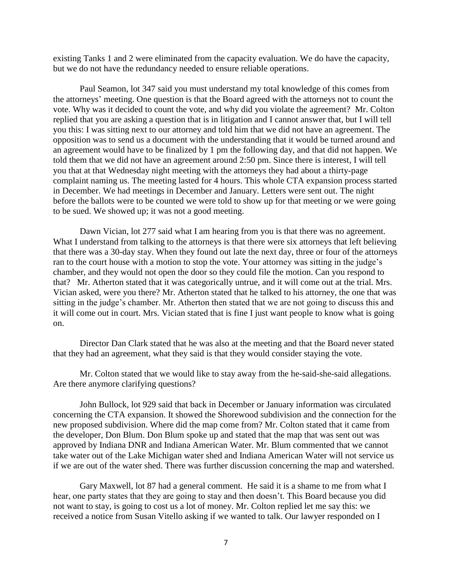existing Tanks 1 and 2 were eliminated from the capacity evaluation. We do have the capacity, but we do not have the redundancy needed to ensure reliable operations.

Paul Seamon, lot 347 said you must understand my total knowledge of this comes from the attorneys' meeting. One question is that the Board agreed with the attorneys not to count the vote. Why was it decided to count the vote, and why did you violate the agreement? Mr. Colton replied that you are asking a question that is in litigation and I cannot answer that, but I will tell you this: I was sitting next to our attorney and told him that we did not have an agreement. The opposition was to send us a document with the understanding that it would be turned around and an agreement would have to be finalized by 1 pm the following day, and that did not happen. We told them that we did not have an agreement around 2:50 pm. Since there is interest, I will tell you that at that Wednesday night meeting with the attorneys they had about a thirty-page complaint naming us. The meeting lasted for 4 hours. This whole CTA expansion process started in December. We had meetings in December and January. Letters were sent out. The night before the ballots were to be counted we were told to show up for that meeting or we were going to be sued. We showed up; it was not a good meeting.

Dawn Vician, lot 277 said what I am hearing from you is that there was no agreement. What I understand from talking to the attorneys is that there were six attorneys that left believing that there was a 30-day stay. When they found out late the next day, three or four of the attorneys ran to the court house with a motion to stop the vote. Your attorney was sitting in the judge's chamber, and they would not open the door so they could file the motion. Can you respond to that? Mr. Atherton stated that it was categorically untrue, and it will come out at the trial. Mrs. Vician asked, were you there? Mr. Atherton stated that he talked to his attorney, the one that was sitting in the judge's chamber. Mr. Atherton then stated that we are not going to discuss this and it will come out in court. Mrs. Vician stated that is fine I just want people to know what is going on.

Director Dan Clark stated that he was also at the meeting and that the Board never stated that they had an agreement, what they said is that they would consider staying the vote.

Mr. Colton stated that we would like to stay away from the he-said-she-said allegations. Are there anymore clarifying questions?

John Bullock, lot 929 said that back in December or January information was circulated concerning the CTA expansion. It showed the Shorewood subdivision and the connection for the new proposed subdivision. Where did the map come from? Mr. Colton stated that it came from the developer, Don Blum. Don Blum spoke up and stated that the map that was sent out was approved by Indiana DNR and Indiana American Water. Mr. Blum commented that we cannot take water out of the Lake Michigan water shed and Indiana American Water will not service us if we are out of the water shed. There was further discussion concerning the map and watershed.

Gary Maxwell, lot 87 had a general comment. He said it is a shame to me from what I hear, one party states that they are going to stay and then doesn't. This Board because you did not want to stay, is going to cost us a lot of money. Mr. Colton replied let me say this: we received a notice from Susan Vitello asking if we wanted to talk. Our lawyer responded on I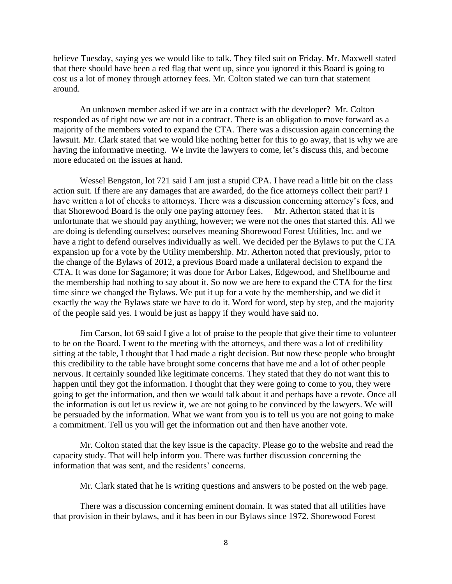believe Tuesday, saying yes we would like to talk. They filed suit on Friday. Mr. Maxwell stated that there should have been a red flag that went up, since you ignored it this Board is going to cost us a lot of money through attorney fees. Mr. Colton stated we can turn that statement around.

An unknown member asked if we are in a contract with the developer? Mr. Colton responded as of right now we are not in a contract. There is an obligation to move forward as a majority of the members voted to expand the CTA. There was a discussion again concerning the lawsuit. Mr. Clark stated that we would like nothing better for this to go away, that is why we are having the informative meeting. We invite the lawyers to come, let's discuss this, and become more educated on the issues at hand.

Wessel Bengston, lot 721 said I am just a stupid CPA. I have read a little bit on the class action suit. If there are any damages that are awarded, do the fice attorneys collect their part? I have written a lot of checks to attorneys. There was a discussion concerning attorney's fees, and that Shorewood Board is the only one paying attorney fees. Mr. Atherton stated that it is unfortunate that we should pay anything, however; we were not the ones that started this. All we are doing is defending ourselves; ourselves meaning Shorewood Forest Utilities, Inc. and we have a right to defend ourselves individually as well. We decided per the Bylaws to put the CTA expansion up for a vote by the Utility membership. Mr. Atherton noted that previously, prior to the change of the Bylaws of 2012, a previous Board made a unilateral decision to expand the CTA. It was done for Sagamore; it was done for Arbor Lakes, Edgewood, and Shellbourne and the membership had nothing to say about it. So now we are here to expand the CTA for the first time since we changed the Bylaws. We put it up for a vote by the membership, and we did it exactly the way the Bylaws state we have to do it. Word for word, step by step, and the majority of the people said yes. I would be just as happy if they would have said no.

Jim Carson, lot 69 said I give a lot of praise to the people that give their time to volunteer to be on the Board. I went to the meeting with the attorneys, and there was a lot of credibility sitting at the table, I thought that I had made a right decision. But now these people who brought this credibility to the table have brought some concerns that have me and a lot of other people nervous. It certainly sounded like legitimate concerns. They stated that they do not want this to happen until they got the information. I thought that they were going to come to you, they were going to get the information, and then we would talk about it and perhaps have a revote. Once all the information is out let us review it, we are not going to be convinced by the lawyers. We will be persuaded by the information. What we want from you is to tell us you are not going to make a commitment. Tell us you will get the information out and then have another vote.

Mr. Colton stated that the key issue is the capacity. Please go to the website and read the capacity study. That will help inform you. There was further discussion concerning the information that was sent, and the residents' concerns.

Mr. Clark stated that he is writing questions and answers to be posted on the web page.

There was a discussion concerning eminent domain. It was stated that all utilities have that provision in their bylaws, and it has been in our Bylaws since 1972. Shorewood Forest